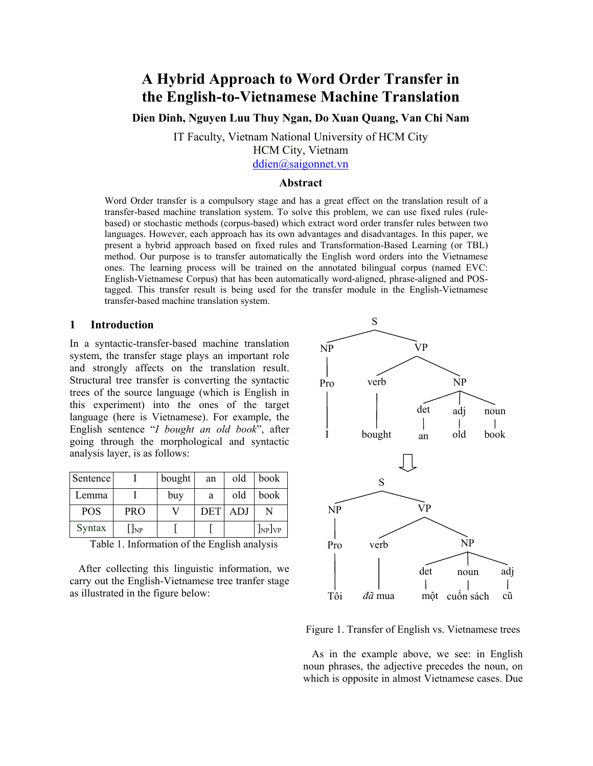# **A Hybrid Approach to Word Order Transfer in the English-to-Vietnamese Machine Translation**

**Dien Dinh, Nguyen Luu Thuy Ngan, Do Xuan Quang, Van Chi Nam** 

IT Faculty, Vietnam National University of HCM City

HCM City, Vietnam

ddien@saigonnet.vn

#### **Abstract**

Word Order transfer is a compulsory stage and has a great effect on the translation result of a transfer-based machine translation system. To solve this problem, we can use fixed rules (rulebased) or stochastic methods (corpus-based) which extract word order transfer rules between two languages. However, each approach has its own advantages and disadvantages. In this paper, we present a hybrid approach based on fixed rules and Transformation-Based Learning (or TBL) method. Our purpose is to transfer automatically the English word orders into the Vietnamese ones. The learning process will be trained on the annotated bilingual corpus (named EVC: English-Vietnamese Corpus) that has been automatically word-aligned, phrase-aligned and POStagged. This transfer result is being used for the transfer module in the English-Vietnamese transfer-based machine translation system.

## **1 Introduction**

In a syntactic-transfer-based machine translation system, the transfer stage plays an important role and strongly affects on the translation result. Structural tree transfer is converting the syntactic trees of the source language (which is English in this experiment) into the ones of the target language (here is Vietnamese). For example, the English sentence "*I bought an old book*", after going through the morphological and syntactic analysis layer, is as follows:

| Sentence   |            | bought | an         | old  | book   |
|------------|------------|--------|------------|------|--------|
| Lemma      |            | buy    | a          | old  | book   |
| <b>POS</b> | <b>PRO</b> |        | <b>DET</b> | ADJ. |        |
| Syntax     | NP         |        |            |      | $\log$ |

Table 1. Information of the English analysis

After collecting this linguistic information, we carry out the English-Vietnamese tree tranfer stage as illustrated in the figure below:



Figure 1. Transfer of English vs. Vietnamese trees

As in the example above, we see: in English noun phrases, the adjective precedes the noun, on which is opposite in almost Vietnamese cases. Due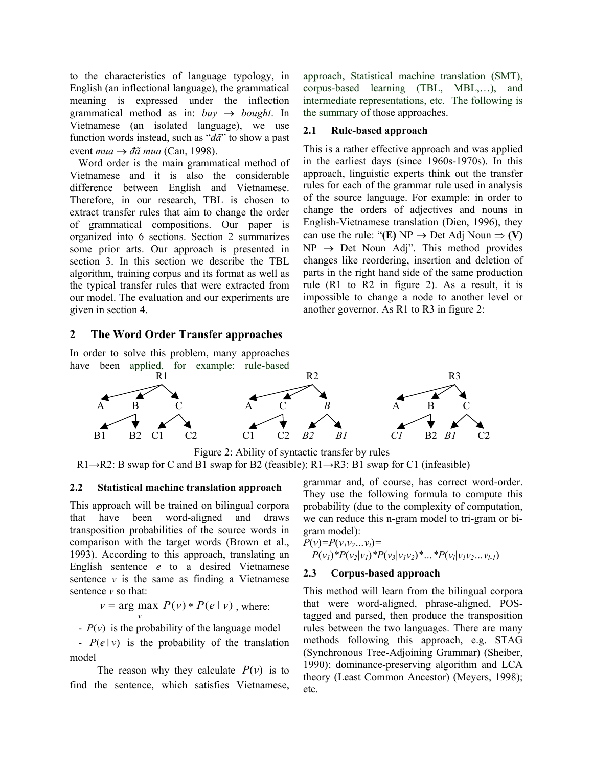to the characteristics of language typology, in English (an inflectional language), the grammatical meaning is expressed under the inflection grammatical method as in:  $buv \rightarrow bought$ . In Vietnamese (an isolated language), we use function words instead, such as "*đã*" to show a past event *mua*  $\rightarrow$  *đã mua* (Can, 1998).

Word order is the main grammatical method of Vietnamese and it is also the considerable difference between English and Vietnamese. Therefore, in our research, TBL is chosen to extract transfer rules that aim to change the order of grammatical compositions. Our paper is organized into 6 sections. Section 2 summarizes some prior arts. Our approach is presented in section 3. In this section we describe the TBL algorithm, training corpus and its format as well as the typical transfer rules that were extracted from our model. The evaluation and our experiments are given in section 4.

# **2 The Word Order Transfer approaches**

In order to solve this problem, many approaches have been applied, for example: rule-based approach, Statistical machine translation (SMT), corpus-based learning (TBL, MBL,…), and intermediate representations, etc. The following is the summary of those approaches.

# **2.1 Rule-based approach**

This is a rather effective approach and was applied in the earliest days (since 1960s-1970s). In this approach, linguistic experts think out the transfer rules for each of the grammar rule used in analysis of the source language. For example: in order to change the orders of adjectives and nouns in English-Vietnamese translation (Dien, 1996), they can use the rule: " $(E) NP \rightarrow Det Adj Noun \Rightarrow (V)$  $NP \rightarrow Det$  Noun Adj". This method provides changes like reordering, insertion and deletion of parts in the right hand side of the same production rule (R1 to R2 in figure 2). As a result, it is impossible to change a node to another level or another governor. As R1 to R3 in figure 2:



Figure 2: Ability of syntactic transfer by rules  $R1\rightarrow R2$ : B swap for C and B1 swap for B2 (feasible);  $R1\rightarrow R3$ : B1 swap for C1 (infeasible)

#### **2.2 Statistical machine translation approach**

This approach will be trained on bilingual corpora that have been word-aligned and draws transposition probabilities of the source words in comparison with the target words (Brown et al., 1993). According to this approach, translating an English sentence *e* to a desired Vietnamese sentence  $\nu$  is the same as finding a Vietnamese sentence *v* so that:

 $v = \arg \max P(v) * P(e | v)$ , where:

- 
$$
P(v)
$$
 is the probability of the language model

*v*

-  $P(e|v)$  is the probability of the translation model

The reason why they calculate  $P(v)$  is to find the sentence, which satisfies Vietnamese, grammar and, of course, has correct word-order. They use the following formula to compute this probability (due to the complexity of computation, we can reduce this n-gram model to tri-gram or bigram model):

$$
P(v)=P(v_1v_2...v_l)=
$$
  
 
$$
P(v_1)*P(v_2|v_1)*P(v_3|v_1v_2)*...*P(v_l|v_1v_2...v_{l-1})
$$

#### **2.3 Corpus-based approach**

This method will learn from the bilingual corpora that were word-aligned, phrase-aligned, POStagged and parsed, then produce the transposition rules between the two languages. There are many methods following this approach, e.g. STAG (Synchronous Tree-Adjoining Grammar) (Sheiber, 1990); dominance-preserving algorithm and LCA theory (Least Common Ancestor) (Meyers, 1998); etc.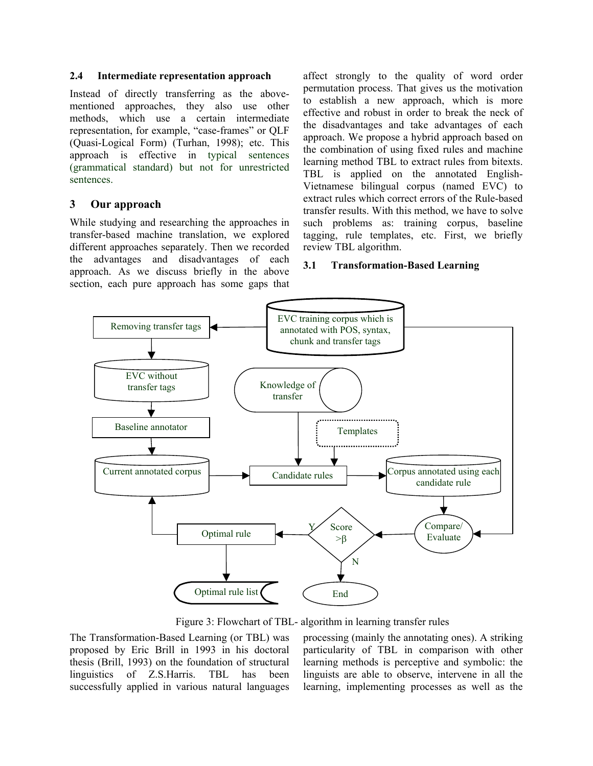#### **2.4 Intermediate representation approach**

Instead of directly transferring as the abovementioned approaches, they also use other methods, which use a certain intermediate representation, for example, "case-frames" or QLF (Quasi-Logical Form) (Turhan, 1998); etc. This approach is effective in typical sentences (grammatical standard) but not for unrestricted sentences.

# **3 Our approach**

While studying and researching the approaches in transfer-based machine translation, we explored different approaches separately. Then we recorded the advantages and disadvantages of each approach. As we discuss briefly in the above section, each pure approach has some gaps that affect strongly to the quality of word order permutation process. That gives us the motivation to establish a new approach, which is more effective and robust in order to break the neck of the disadvantages and take advantages of each approach. We propose a hybrid approach based on the combination of using fixed rules and machine learning method TBL to extract rules from bitexts. TBL is applied on the annotated English-Vietnamese bilingual corpus (named EVC) to extract rules which correct errors of the Rule-based transfer results. With this method, we have to solve such problems as: training corpus, baseline tagging, rule templates, etc. First, we briefly review TBL algorithm.

#### **3.1 Transformation-Based Learning**



Figure 3: Flowchart of TBL- algorithm in learning transfer rules

The Transformation-Based Learning (or TBL) was proposed by Eric Brill in 1993 in his doctoral thesis (Brill, 1993) on the foundation of structural linguistics of Z.S.Harris. TBL has been successfully applied in various natural languages processing (mainly the annotating ones). A striking particularity of TBL in comparison with other learning methods is perceptive and symbolic: the linguists are able to observe, intervene in all the learning, implementing processes as well as the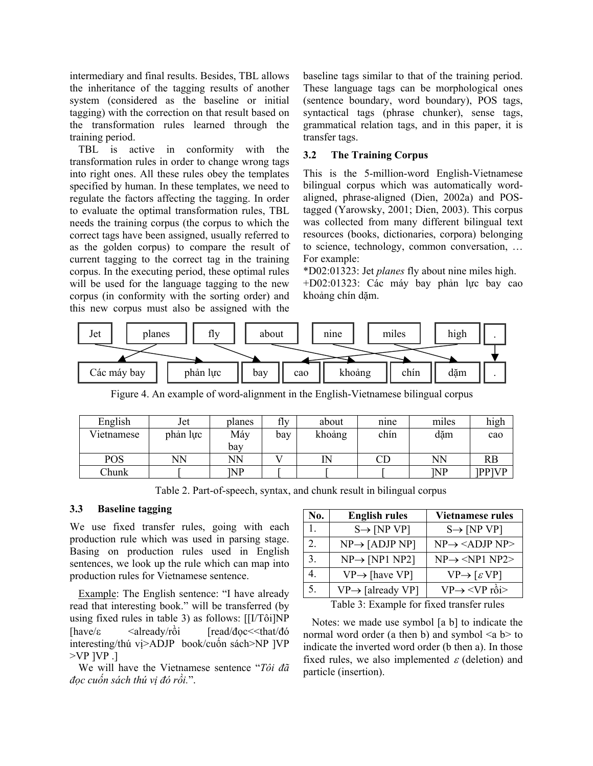intermediary and final results. Besides, TBL allows the inheritance of the tagging results of another system (considered as the baseline or initial tagging) with the correction on that result based on the transformation rules learned through the training period.

TBL is active in conformity with the transformation rules in order to change wrong tags into right ones. All these rules obey the templates specified by human. In these templates, we need to regulate the factors affecting the tagging. In order to evaluate the optimal transformation rules, TBL needs the training corpus (the corpus to which the correct tags have been assigned, usually referred to as the golden corpus) to compare the result of current tagging to the correct tag in the training corpus. In the executing period, these optimal rules will be used for the language tagging to the new corpus (in conformity with the sorting order) and this new corpus must also be assigned with the baseline tags similar to that of the training period. These language tags can be morphological ones (sentence boundary, word boundary), POS tags, syntactical tags (phrase chunker), sense tags, grammatical relation tags, and in this paper, it is transfer tags.

#### **3.2 The Training Corpus**

This is the 5-million-word English-Vietnamese bilingual corpus which was automatically wordaligned, phrase-aligned (Dien, 2002a) and POStagged (Yarowsky, 2001; Dien, 2003). This corpus was collected from many different bilingual text resources (books, dictionaries, corpora) belonging to science, technology, common conversation, … For example:

\*D02:01323: Jet *planes* fly about nine miles high. +D02:01323: Các máy bay phản lực bay cao khoảng chín dặm.



Figure 4. An example of word-alignment in the English-Vietnamese bilingual corpus

| English    | Jet      | planes | fly | about  | nine                       | miles      | high         |
|------------|----------|--------|-----|--------|----------------------------|------------|--------------|
| Vietnamese | phản lực | Máy    | bay | khoảng | chín                       | dăm        | cao          |
|            |          | bay    |     |        |                            |            |              |
| POS        | NN       | ΝN     |     | IN     | $\mathop{\rm CD}\nolimits$ | NN         | RB           |
| Chunk      |          | INP    |     |        |                            | <b>INP</b> | <b>PPIVP</b> |

Table 2. Part-of-speech, syntax, and chunk result in bilingual corpus

#### **3.3 Baseline tagging**

We use fixed transfer rules, going with each production rule which was used in parsing stage. Basing on production rules used in English sentences, we look up the rule which can map into production rules for Vietnamese sentence.

Example: The English sentence: "I have already read that interesting book." will be transferred (by using fixed rules in table 3) as follows: [[I/Tôi]NP  $[\text{have}/\varepsilon \quad \text{already}/r\hat{\text{o}}i \quad \text{[read/doc} \leq \text{that/đó}]$ interesting/thú vị>ADJP book/cuốn sách>NP ]VP  $>VP$   $IVP$  .]

We will have the Vietnamese sentence "*Tôi đã đọc cuốn sách thú vị đó rồi.*".

| No.              | <b>English rules</b>          | <b>Vietnamese rules</b>                  |
|------------------|-------------------------------|------------------------------------------|
| 1                | $S \rightarrow [NP VP]$       | $S \rightarrow [NP VP]$                  |
| $\overline{2}$ . | $NP \rightarrow [ADJP NP]$    | $NP \rightarrow \langle ADJP NP \rangle$ |
| 3.               | $NP \rightarrow [NP1 NP2]$    | $NP \rightarrow \langle NP1 NP2 \rangle$ |
| 4.               | $VP \rightarrow$ [have VP]    | $VP \rightarrow [ \varepsilon VP ]$      |
| 5.               | $VP \rightarrow$ [already VP] | $VP \rightarrow \langle VP \rangle$ rồi> |

Table 3: Example for fixed transfer rules

Notes: we made use symbol [a b] to indicate the normal word order (a then b) and symbol  $\leq a$  b> to indicate the inverted word order (b then a). In those fixed rules, we also implemented  $\varepsilon$  (deletion) and particle (insertion).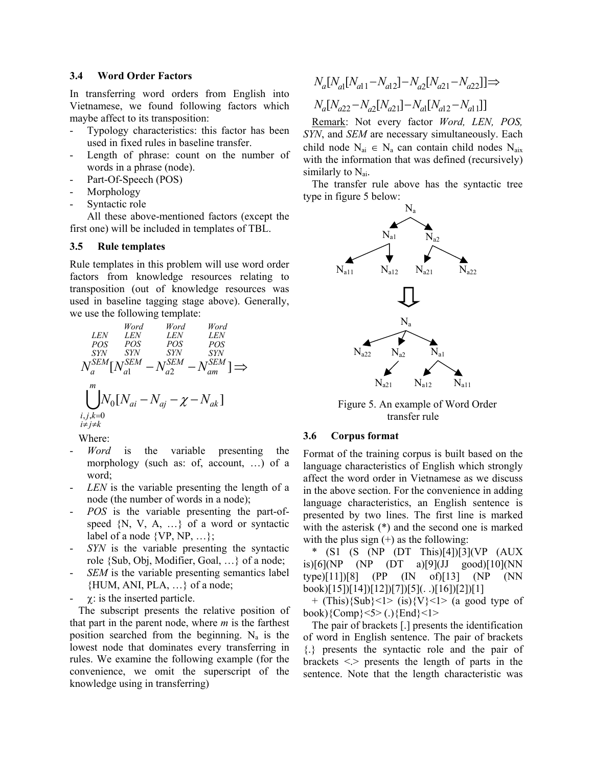#### **3.4 Word Order Factors**

In transferring word orders from English into Vietnamese, we found following factors which maybe affect to its transposition:

- Typology characteristics: this factor has been used in fixed rules in baseline transfer.
- Length of phrase: count on the number of words in a phrase (node).
- Part-Of-Speech (POS)
- **Morphology**
- Syntactic role

All these above-mentioned factors (except the first one) will be included in templates of TBL.

### **3.5 Rule templates**

Rule templates in this problem will use word order factors from knowledge resources relating to transposition (out of knowledge resources was used in baseline tagging stage above). Generally, we use the following template:

$$
Word \n\begin{array}{ccc}\n\text{Word} & Word & Word \\
\text{LEN} & LEN & LEN & LEN \\
\text{POS} & POS & POS & POS \\
\text{SYN} & SYN & SYN & SYN \\
N_a^{\text{SEM}} \left[ N_{a1}^{\text{SEM}} - N_{a2}^{\text{SEM}} - N_{am}^{\text{SEM}} \right] \Longrightarrow \\
\bigcup_{i,j,k=0}^{m} N_0 \left[ N_{ai} - N_{aj} - \chi - N_{ak} \right]\n\end{array}
$$

Where:

- *Word* is the variable presenting the morphology (such as: of, account, …) of a word;
- *LEN* is the variable presenting the length of a node (the number of words in a node);
- *POS* is the variable presenting the part-ofspeed  $\{N, V, A, ...\}$  of a word or syntactic label of a node  $\{VP, NP, ...\}$ ;
- *SYN* is the variable presenting the syntactic role {Sub, Obj, Modifier, Goal, …} of a node;
- *SEM* is the variable presenting semantics label {HUM, ANI, PLA, …} of a node;
- $\chi$ : is the inserted particle.

The subscript presents the relative position of that part in the parent node, where *m* is the farthest position searched from the beginning.  $N_a$  is the lowest node that dominates every transferring in rules. We examine the following example (for the convenience, we omit the superscript of the knowledge using in transferring)

$$
N_a[N_{a1}[N_{a11}-N_{a12}]-N_{a2}[N_{a21}-N_{a22}]]\Rightarrow N_a[N_{a22}-N_{a2}[N_{a21}]-N_{a1}[N_{a12}-N_{a11}]]
$$

Remark: Not every factor *Word, LEN, POS, SYN*, and *SEM* are necessary simultaneously. Each child node  $N_{ai} \in N_a$  can contain child nodes  $N_{aix}$ with the information that was defined (recursively) similarly to  $N_{ai}$ .

The transfer rule above has the syntactic tree type in figure 5 below:



Figure 5. An example of Word Order transfer rule

#### **3.6 Corpus format**

Format of the training corpus is built based on the language characteristics of English which strongly affect the word order in Vietnamese as we discuss in the above section. For the convenience in adding language characteristics, an English sentence is presented by two lines. The first line is marked with the asterisk (\*) and the second one is marked with the plus sign  $(+)$  as the following:

\* (S1 (S (NP (DT This)[4])[3](VP (AUX is)[6](NP (NP (DT a)[9](JJ good)[10](NN type)[11])[8] (PP (IN of)[13] (NP (NN  $book$ [15][14][12][7][5](...[16][2][1]

+ (This) $\{Sub\}$  < 1> (is) $\{V\}$  < 1> (a good type of book){Comp}<5> (.){End}<1>

The pair of brackets [.] presents the identification of word in English sentence. The pair of brackets {.} presents the syntactic role and the pair of brackets  $\le$  presents the length of parts in the sentence. Note that the length characteristic was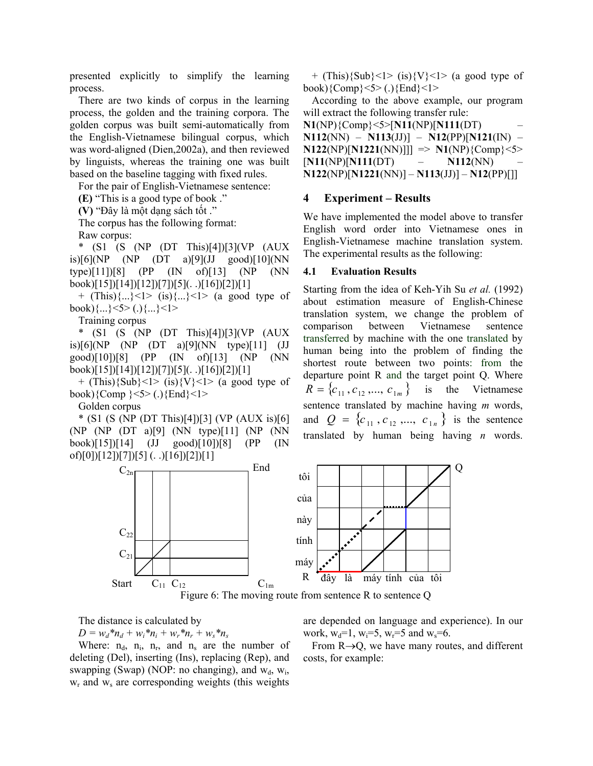presented explicitly to simplify the learning process.

There are two kinds of corpus in the learning process, the golden and the training corpora. The golden corpus was built semi-automatically from the English-Vietnamese bilingual corpus, which was word-aligned (Dien,2002a), and then reviewed by linguists, whereas the training one was built based on the baseline tagging with fixed rules.

For the pair of English-Vietnamese sentence:

**(E)** "This is a good type of book ."

**(V)** "Đây là một dạng sách tốt ."

The corpus has the following format:

Raw corpus:

\* (S1 (S (NP (DT This)[4])[3](VP (AUX is)[6](NP (NP (DT a)[9](JJ good)[10](NN type)[11])[8] (PP (IN of)[13] (NP (NN book)[15])[14])[12])[7])[5](. .)[16])[2])[1]

+  $(This){...,}$  <1>  $(is){...}$  <1>  $(a \text{ good type of})$ book) $\{...\}$ <5> $(.)\{...\}$ <1>

Training corpus

\* (S1 (S (NP (DT This)[4])[3](VP (AUX is)[6](NP (NP (DT a)[9](NN type)[11] (JJ good)[10])[8] (PP (IN of)[13] (NP (NN book)[15])[14])[12])[7])[5](. .)[16])[2])[1]

+ (This) $\{Sub\}$  < 1> (is) $\{V\}$  < 1> (a good type of book){Comp }<5> (.){End}<1>

Golden corpus

\* (S1 (S (NP (DT This)[4])[3] (VP (AUX is)[6] (NP (NP (DT a)[9] (NN type)[11] (NP (NN book)[15])[14] (JJ good)[10])[8] (PP (IN of)[0])[12])[7])[5] (. .)[16])[2])[1]

+ (This) $\{Sub\}$  < 1> (is) $\{V\}$  < 1> (a good type of book){Comp}<5> (.){End}<1>

According to the above example, our program will extract the following transfer rule:

**N1**(NP){Comp}<5>[**N11**(NP)[**N111**(DT) –

**N112**(NN) – **N113**(JJ)] – **N12**(PP)[**N121**(IN) –  $N122(NP)[N1221(NN)]$ ]]  $\Rightarrow N1(NP){\text{Comp}}$  <5> [**N11**(NP)[**N111**(DT) – **N112**(NN) – **N122**(NP)[**N1221**(NN)] – **N113**(JJ)] – **N12**(PP)[]]

#### **4 Experiment – Results**

We have implemented the model above to transfer English word order into Vietnamese ones in English-Vietnamese machine translation system. The experimental results as the following:

#### **4.1 Evaluation Results**

Starting from the idea of Keh-Yih Su *et al.* (1992) about estimation measure of English-Chinese translation system, we change the problem of comparison between Vietnamese sentence transferred by machine with the one translated by human being into the problem of finding the shortest route between two points: from the departure point R and the target point Q. Where  $R = \{c_{11}, c_{12}, ..., c_{1m}\}$  is the Vietnamese sentence translated by machine having *m* words, and  $Q = \{c_{11}, c_{12}, ..., c_{1n}\}\$ is the sentence translated by human being having *n* words.





The distance is calculated by

 $D = w_d * n_d + w_i * n_i + w_r * n_r + w_s * n_s$ 

Where:  $n_d$ ,  $n_i$ ,  $n_r$ , and  $n_s$  are the number of deleting (Del), inserting (Ins), replacing (Rep), and swapping (Swap) (NOP: no changing), and  $w_d$ ,  $w_i$ ,  $w_r$  and  $w_s$  are corresponding weights (this weights

are depended on language and experience). In our work,  $w_d=1$ ,  $w_i=5$ ,  $w_r=5$  and  $w_s=6$ .

From R→Q, we have many routes, and different costs, for example: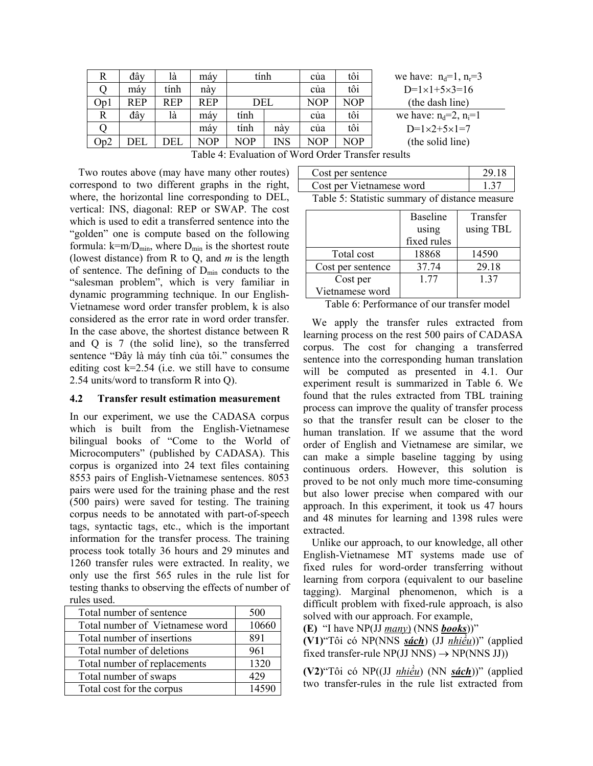| R            | đây | là         | máy        | tính |            | cúa | tôi | we have: $n_d=1$ , $n_r=3$ |
|--------------|-----|------------|------------|------|------------|-----|-----|----------------------------|
|              | máy | tính       | này        |      |            | cua | tôi | $D=1\times1+5\times3=16$   |
| Op1          | REP | <b>REP</b> | <b>REP</b> | DEL  |            | NOP | NOP | (the dash line)            |
| $\mathbb{R}$ | đây | là         | máy        | tính |            | cúa | tôi | we have: $n_d=2$ , $n_i=1$ |
|              |     |            | máy        | tính | này        | cúa | tôi | $D=1\times 2+5\times 1=7$  |
| Op2          | DEL | DEL        | <b>NOP</b> | NOP  | <b>INS</b> | NOP | NOP | (the solid line)           |

|  |  |  |  |  | Table 4: Evaluation of Word Order Transfer results |
|--|--|--|--|--|----------------------------------------------------|
|--|--|--|--|--|----------------------------------------------------|

Two routes above (may have many other routes) correspond to two different graphs in the right, where, the horizontal line corresponding to DEL, vertical: INS, diagonal: REP or SWAP. The cost which is used to edit a transferred sentence into the "golden" one is compute based on the following formula:  $k=m/D_{min}$ , where  $D_{min}$  is the shortest route (lowest distance) from R to Q, and *m* is the length of sentence. The defining of  $D_{min}$  conducts to the "salesman problem", which is very familiar in dynamic programming technique. In our English-Vietnamese word order transfer problem, k is also considered as the error rate in word order transfer. In the case above, the shortest distance between R and Q is 7 (the solid line), so the transferred sentence "Đây là máy tính của tôi." consumes the editing cost  $k=2.54$  (i.e. we still have to consume 2.54 units/word to transform R into Q).

#### **4.2 Transfer result estimation measurement**

In our experiment, we use the CADASA corpus which is built from the English-Vietnamese bilingual books of "Come to the World of Microcomputers" (published by CADASA). This corpus is organized into 24 text files containing 8553 pairs of English-Vietnamese sentences. 8053 pairs were used for the training phase and the rest (500 pairs) were saved for testing. The training corpus needs to be annotated with part-of-speech tags, syntactic tags, etc., which is the important information for the transfer process. The training process took totally 36 hours and 29 minutes and 1260 transfer rules were extracted. In reality, we only use the first 565 rules in the rule list for testing thanks to observing the effects of number of rules used.

| Total number of sentence        | 500   |
|---------------------------------|-------|
| Total number of Vietnamese word | 10660 |
| Total number of insertions      | 891   |
| Total number of deletions       | 961   |
| Total number of replacements    | 1320  |
| Total number of swaps           | 429   |
| Total cost for the corpus       | 14590 |

| Cost per sentence                              | 29.18 |  |  |  |
|------------------------------------------------|-------|--|--|--|
| Cost per Vietnamese word                       | 1.37  |  |  |  |
| Table 5: Statistic summary of distance measure |       |  |  |  |

|                   | <b>Baseline</b> | Transfer  |
|-------------------|-----------------|-----------|
|                   | using           | using TBL |
|                   | fixed rules     |           |
| Total cost        | 18868           | 14590     |
| Cost per sentence | 37.74           | 29.18     |
| Cost per          | 1.77            | 1 37      |
| Vietnamese word   |                 |           |

Table 6: Performance of our transfer model

We apply the transfer rules extracted from learning process on the rest 500 pairs of CADASA corpus. The cost for changing a transferred sentence into the corresponding human translation will be computed as presented in 4.1. Our experiment result is summarized in Table 6. We found that the rules extracted from TBL training process can improve the quality of transfer process so that the transfer result can be closer to the human translation. If we assume that the word order of English and Vietnamese are similar, we can make a simple baseline tagging by using continuous orders. However, this solution is proved to be not only much more time-consuming but also lower precise when compared with our approach. In this experiment, it took us 47 hours and 48 minutes for learning and 1398 rules were extracted.

Unlike our approach, to our knowledge, all other English-Vietnamese MT systems made use of fixed rules for word-order transferring without learning from corpora (equivalent to our baseline tagging). Marginal phenomenon, which is a difficult problem with fixed-rule approach, is also solved with our approach. For example,

**(E)** "I have NP(JJ *many*) (NNS *books*))"

**(V1)**"Tôi có NP(NNS *sách*) (JJ *nhiều*))" (applied fixed transfer-rule  $NP(JJ NNS) \rightarrow NP(NNS JJ)$ 

**(V2)**"Tôi có NP((JJ *nhiều*) (NN *sách*))" (applied two transfer-rules in the rule list extracted from